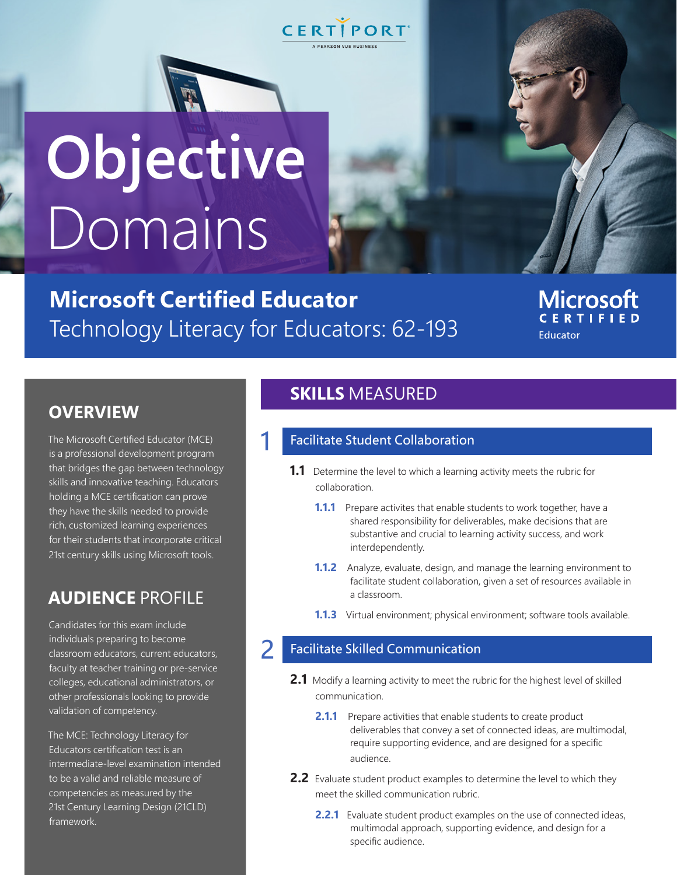

# **Objective** Domains

**Microsoft Certified Educator**  Technology Literacy for Educators: 62-193

1

**Microsoft CERTIFIED** Educator

# **OVERVIEW**

The Microsoft Certified Educator (MCE) is a professional development program that bridges the gap between technology skills and innovative teaching. Educators holding a MCE certification can prove they have the skills needed to provide rich, customized learning experiences for their students that incorporate critical 21st century skills using Microsoft tools.

# **AUDIENCE** PROFILE

Candidates for this exam include individuals preparing to become classroom educators, current educators, faculty at teacher training or pre-service colleges, educational administrators, or other professionals looking to provide validation of competency.

The MCE: Technology Literacy for Educators certification test is an intermediate-level examination intended to be a valid and reliable measure of competencies as measured by the 21st Century Learning Design (21CLD) framework.

# **SKILLS** MEASURED

### Facilitate Student Collaboration

- **1.1** Determine the level to which a learning activity meets the rubric for collaboration.
	- **1.1.1** Prepare activites that enable students to work together, have a shared responsibility for deliverables, make decisions that are substantive and crucial to learning activity success, and work interdependently.
	- **1.1.2** Analyze, evaluate, design, and manage the learning environment to facilitate student collaboration, given a set of resources available in a classroom.
	- **1.1.3** Virtual environment; physical environment; software tools available.

#### 2 Facilitate Skilled Communication

- **2.1** Modify a learning activity to meet the rubric for the highest level of skilled communication.
	- **2.1.1** Prepare activities that enable students to create product deliverables that convey a set of connected ideas, are multimodal, require supporting evidence, and are designed for a specific audience.
- **2.2** Evaluate student product examples to determine the level to which they meet the skilled communication rubric.
	- **2.2.1** Evaluate student product examples on the use of connected ideas, multimodal approach, supporting evidence, and design for a specific audience.